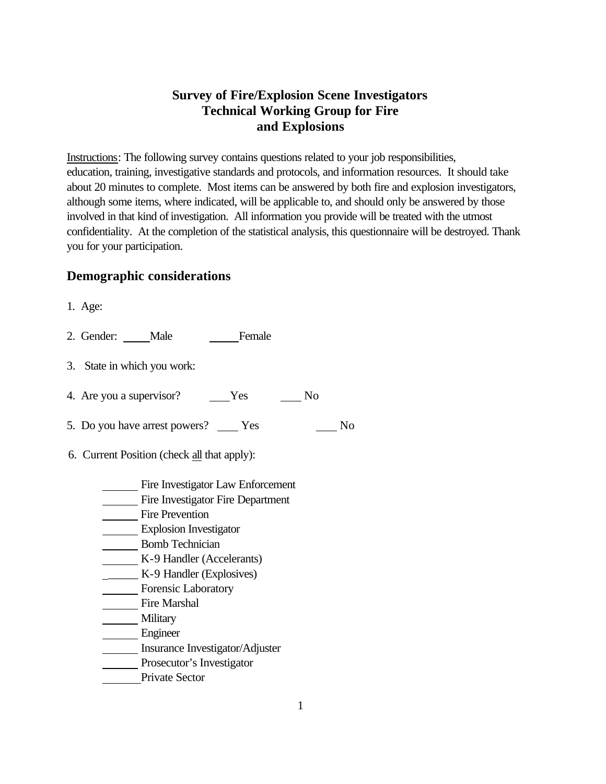### **Survey of Fire/Explosion Scene Investigators Technical Working Group for Fire and Explosions**

Instructions: The following survey contains questions related to your job responsibilities, education, training, investigative standards and protocols, and information resources. It should take about 20 minutes to complete. Most items can be answered by both fire and explosion investigators, although some items, where indicated, will be applicable to, and should only be answered by those involved in that kind of investigation. All information you provide will be treated with the utmost confidentiality. At the completion of the statistical analysis, this questionnaire will be destroyed. Thank you for your participation.

### **Demographic considerations**

- 1. Age:
- 2. Gender: Male Female
- 3. State in which you work:
- 4. Are you a supervisor? Yes No
- 5. Do you have arrest powers? Yes No
- 6. Current Position (check all that apply):
	- Fire Investigator Law Enforcement
	- Fire Investigator Fire Department
	- Fire Prevention
	- Explosion Investigator
	- Bomb Technician
	- K-9 Handler (Accelerants)
	- \_\_\_\_\_ K-9 Handler (Explosives)
	- Forensic Laboratory
	- Fire Marshal
	- **Military**
	- Engineer
	- Insurance Investigator/Adjuster
	- Prosecutor's Investigator
	- Private Sector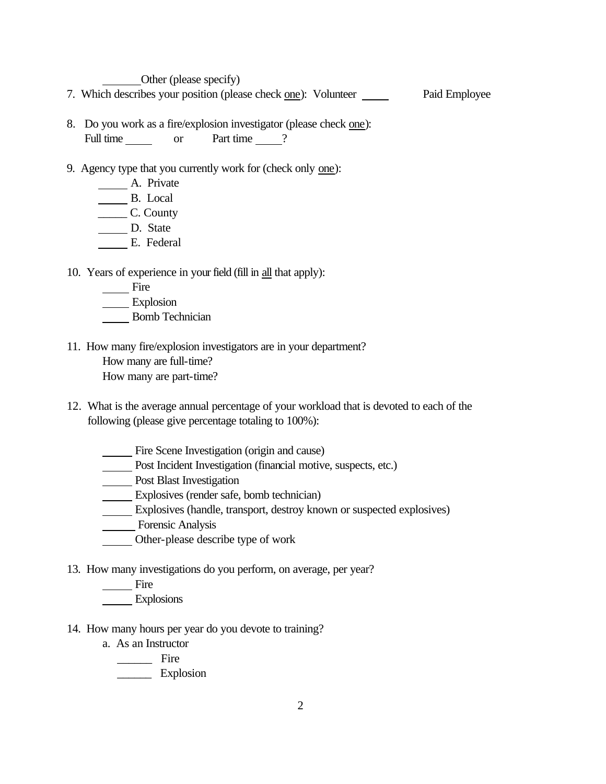Other (please specify)

- 7. Which describes your position (please check one): Volunteer Paid Employee
- 8. Do you work as a fire/explosion investigator (please check one): Full time or Part time ?
- 9. Agency type that you currently work for (check only one):
	- A. Private
	- B. Local
	- \_\_\_\_\_ C. County
	- D. State
	- E. Federal
- 10. Years of experience in your field (fill in all that apply):
	- **Fire**
	- Explosion
	- Bomb Technician
- 11. How many fire/explosion investigators are in your department? How many are full-time?
	- How many are part-time?
- 12. What is the average annual percentage of your workload that is devoted to each of the following (please give percentage totaling to 100%):
	- Fire Scene Investigation (origin and cause)
	- Post Incident Investigation (financial motive, suspects, etc.)
	- **Post Blast Investigation**
	- Explosives (render safe, bomb technician)
	- Explosives (handle, transport, destroy known or suspected explosives)
	- **Example 2** Forensic Analysis
	- Other-please describe type of work
- 13. How many investigations do you perform, on average, per year?
	- Fire
	- Explosions
- 14. How many hours per year do you devote to training?
	- a. As an Instructor
		- \_\_\_\_\_\_ Fire
		- \_\_\_\_\_\_ Explosion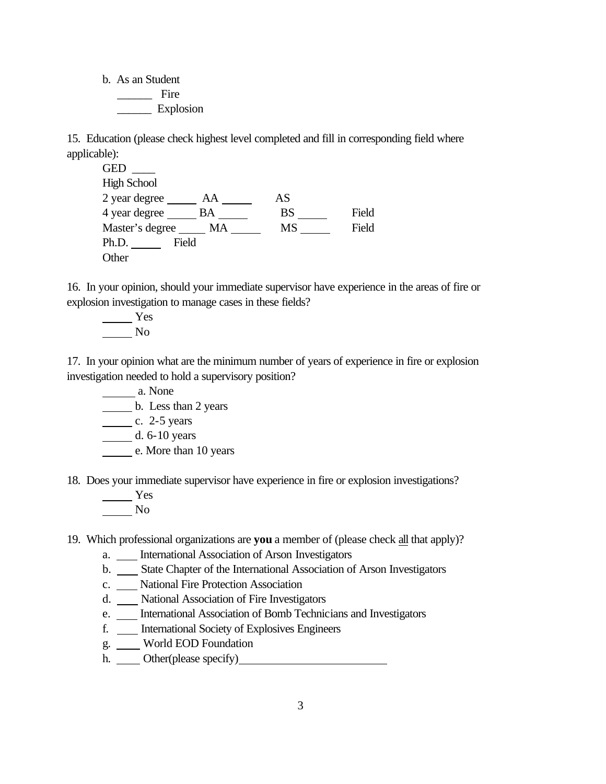b. As an Student \_\_\_\_\_\_ Fire \_\_\_\_\_\_ Explosion

15. Education (please check highest level completed and fill in corresponding field where applicable):

GED \_\_\_\_ High School  $2 \text{ year degree}$   $AA$   $AS$ 4 year degree BA BS BS Field Master's degree MA MS SERVIES Rield Ph.D. Field **Other** 

16. In your opinion, should your immediate supervisor have experience in the areas of fire or explosion investigation to manage cases in these fields?

 Yes No

17. In your opinion what are the minimum number of years of experience in fire or explosion investigation needed to hold a supervisory position?

a. None

b. Less than 2 years

 $\frac{\ }{25}$  c. 2-5 years

d. 6-10 years

e. More than 10 years

18. Does your immediate supervisor have experience in fire or explosion investigations?

 Yes No

19. Which professional organizations are **you** a member of (please check all that apply)?

- a. International Association of Arson Investigators
- b. State Chapter of the International Association of Arson Investigators
- c. National Fire Protection Association
- d. National Association of Fire Investigators
- e. \_\_\_ International Association of Bomb Technicians and Investigators
- f. International Society of Explosives Engineers
- g. World EOD Foundation
- h. Other(please specify)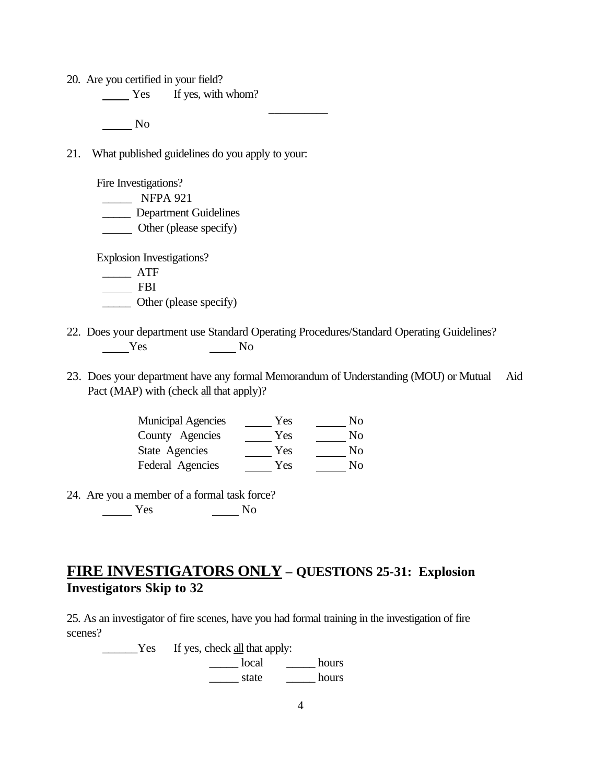20. Are you certified in your field?

Yes If yes, with whom?

No

21. What published guidelines do you apply to your:

 Fire Investigations? \_\_\_\_\_ NFPA 921 \_\_\_\_\_ Department Guidelines **Combinent** (please specify) Explosion Investigations? \_\_\_\_\_ ATF FBI

\_\_\_\_\_ Other (please specify)

- 22. Does your department use Standard Operating Procedures/Standard Operating Guidelines? Yes No
	- 23. Does your department have any formal Memorandum of Understanding (MOU) or Mutual Aid Pact (MAP) with (check all that apply)?

 $\frac{1}{\sqrt{2}}$ 

| <b>Municipal Agencies</b> | Yes | No |
|---------------------------|-----|----|
| County Agencies           | Yes | No |
| State Agencies            | Yes | No |
| Federal Agencies          | Yes | Nο |

24. Are you a member of a formal task force? Yes No

# **FIRE INVESTIGATORS ONLY – QUESTIONS 25-31: Explosion Investigators Skip to 32**

25. As an investigator of fire scenes, have you had formal training in the investigation of fire scenes?

**Example 15** Yes If yes, check <u>all</u> that apply: \_\_\_\_\_ local \_\_\_\_\_ hours \_\_\_\_\_ state \_\_\_\_\_ hours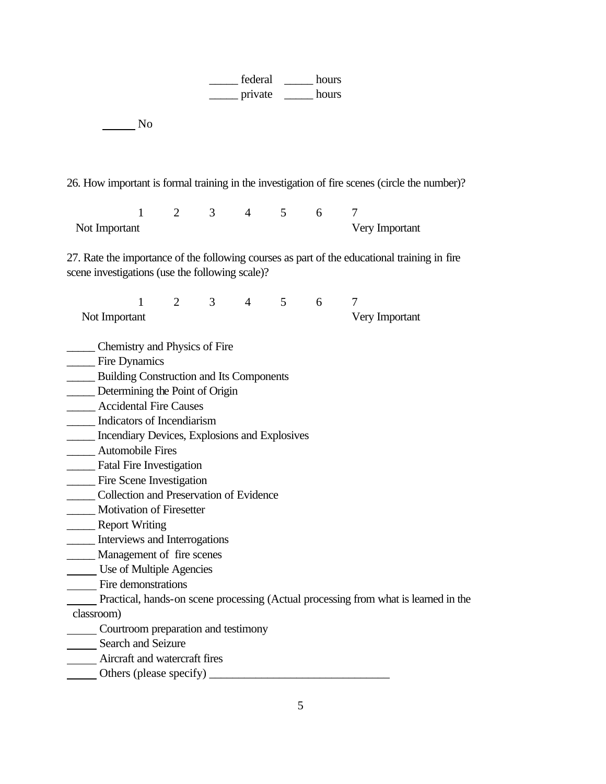| federal | hours |
|---------|-------|
| private | hours |

No

26. How important is formal training in the investigation of fire scenes (circle the number)?

 1 2 3 4 5 6 7 Not Important Very Important

27. Rate the importance of the following courses as part of the educational training in fire scene investigations (use the following scale)?

1 2 3 4 5 6 7 Not Important Very Important

\_\_\_\_\_ Chemistry and Physics of Fire

- Fire Dynamics
- \_\_\_\_\_ Building Construction and Its Components
- **Determining the Point of Origin**
- \_\_\_\_\_ Accidental Fire Causes
- \_\_\_\_\_ Indicators of Incendiarism
- \_\_\_\_\_ Incendiary Devices, Explosions and Explosives
- \_\_\_\_\_ Automobile Fires
- \_\_\_\_\_ Fatal Fire Investigation
- \_\_\_\_\_ Fire Scene Investigation
- \_\_\_\_\_ Collection and Preservation of Evidence
- \_\_\_\_\_ Motivation of Firesetter
- \_\_\_\_\_ Report Writing
- \_\_\_\_\_ Interviews and Interrogations
- \_\_\_\_\_ Management of fire scenes
- Use of Multiple Agencies
- Fire demonstrations
	- Practical, hands-on scene processing (Actual processing from what is learned in the
- classroom)
- **Courtroom preparation and testimony**
- Search and Seizure
- Aircraft and watercraft fires
- Others (please specify) \_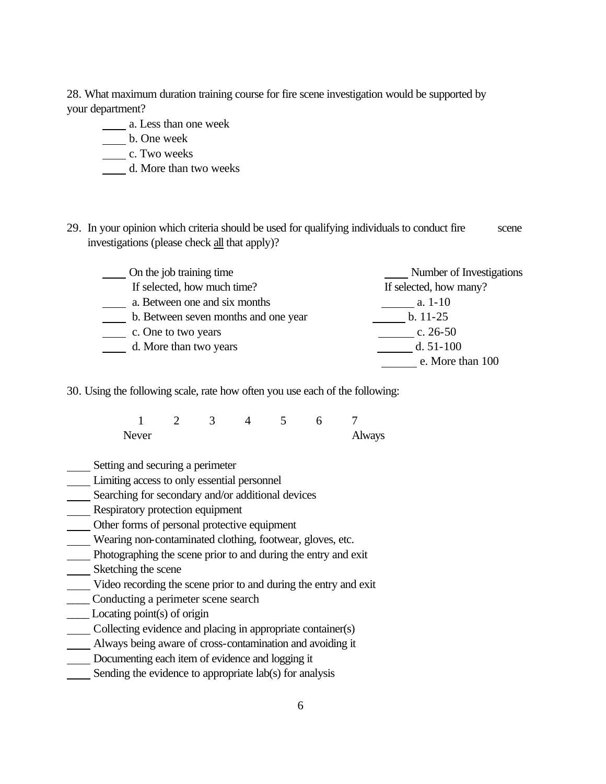28. What maximum duration training course for fire scene investigation would be supported by your department?

- a. Less than one week
- b. One week
- c. Two weeks
- d. More than two weeks
- 29. In your opinion which criteria should be used for qualifying individuals to conduct fire scene investigations (please check all that apply)?

| On the job training time             | Number of Investigations |
|--------------------------------------|--------------------------|
| If selected, how much time?          | If selected, how many?   |
| a. Between one and six months        | a. $1-10$                |
| b. Between seven months and one year | $b. 11-25$               |
| c. One to two years                  | c. $26-50$               |
| d. More than two years               | d. $51-100$              |
|                                      | e. More than 100         |

30. Using the following scale, rate how often you use each of the following:

|       |  | ٠. |        |
|-------|--|----|--------|
| Never |  |    | Always |

- Setting and securing a perimeter
- Limiting access to only essential personnel
- Searching for secondary and/or additional devices
- Respiratory protection equipment
- Other forms of personal protective equipment
- Wearing non-contaminated clothing, footwear, gloves, etc.
- Photographing the scene prior to and during the entry and exit
- Sketching the scene
- Video recording the scene prior to and during the entry and exit
- \_\_\_\_ Conducting a perimeter scene search
- \_\_\_\_ Locating point(s) of origin
- Collecting evidence and placing in appropriate container(s)
- Always being aware of cross-contamination and avoiding it
- Documenting each item of evidence and logging it
- Sending the evidence to appropriate lab(s) for analysis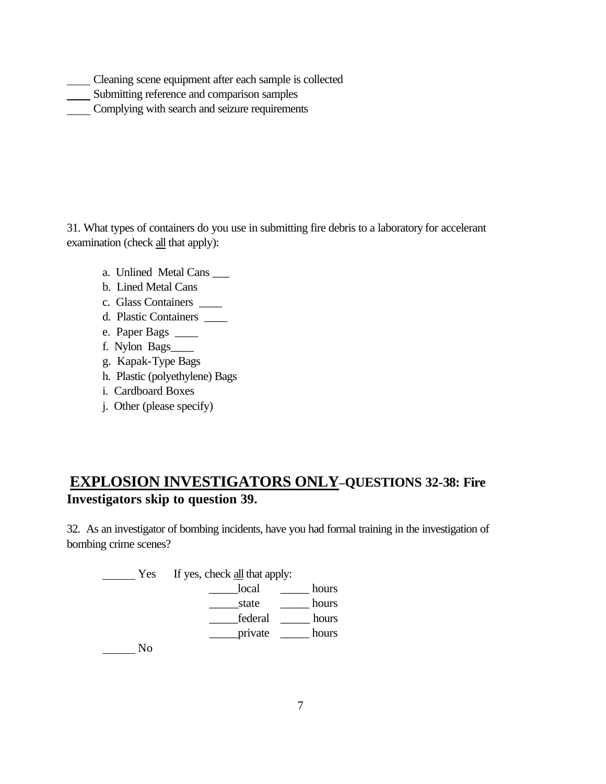- Cleaning scene equipment after each sample is collected
- Submitting reference and comparison samples
- Complying with search and seizure requirements

31. What types of containers do you use in submitting fire debris to a laboratory for accelerant examination (check all that apply):

- a. Unlined Metal Cans \_\_\_
- b. Lined Metal Cans
- c. Glass Containers \_\_\_\_
- d. Plastic Containers \_\_\_\_
- e. Paper Bags \_\_\_\_
- f. Nylon Bags\_\_\_\_
- g. Kapak-Type Bags
- h. Plastic (polyethylene) Bags
- i. Cardboard Boxes
- j. Other (please specify)

# **EXPLOSION INVESTIGATORS ONLY–QUESTIONS 32-38: Fire Investigators skip to question 39.**

32. As an investigator of bombing incidents, have you had formal training in the investigation of bombing crime scenes?

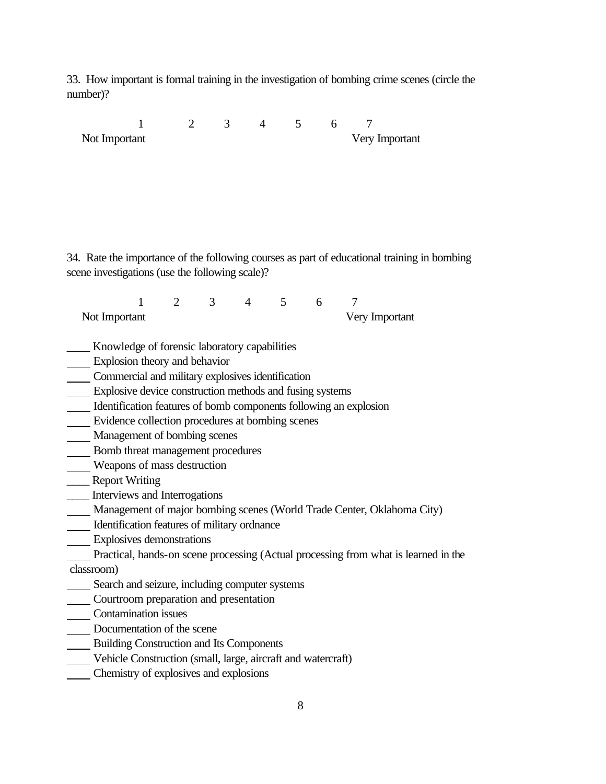33. How important is formal training in the investigation of bombing crime scenes (circle the number)?

|                                                                   | $\mathbf{1}$              | 2            | 3 <sup>7</sup> | $4\overline{ }$ |                | 5 <sup>5</sup> | 6      | 7                                                                                           |  |
|-------------------------------------------------------------------|---------------------------|--------------|----------------|-----------------|----------------|----------------|--------|---------------------------------------------------------------------------------------------|--|
| Not Important                                                     |                           |              |                |                 |                |                |        | Very Important                                                                              |  |
|                                                                   |                           |              |                |                 |                |                |        |                                                                                             |  |
|                                                                   |                           |              |                |                 |                |                |        |                                                                                             |  |
|                                                                   |                           |              |                |                 |                |                |        |                                                                                             |  |
|                                                                   |                           |              |                |                 |                |                |        |                                                                                             |  |
|                                                                   |                           |              |                |                 |                |                |        |                                                                                             |  |
|                                                                   |                           |              |                |                 |                |                |        |                                                                                             |  |
|                                                                   |                           |              |                |                 |                |                |        |                                                                                             |  |
|                                                                   |                           |              |                |                 |                |                |        | 34. Rate the importance of the following courses as part of educational training in bombing |  |
| scene investigations (use the following scale)?                   |                           |              |                |                 |                |                |        |                                                                                             |  |
|                                                                   |                           |              |                |                 |                |                |        |                                                                                             |  |
|                                                                   | $\mathbf{1}$              | $2 \qquad 3$ |                | $4\overline{ }$ | 5 <sup>5</sup> | 6              | $\tau$ |                                                                                             |  |
| Not Important                                                     |                           |              |                |                 |                |                |        | Very Important                                                                              |  |
|                                                                   |                           |              |                |                 |                |                |        |                                                                                             |  |
| __ Knowledge of forensic laboratory capabilities                  |                           |              |                |                 |                |                |        |                                                                                             |  |
| Explosion theory and behavior                                     |                           |              |                |                 |                |                |        |                                                                                             |  |
| Commercial and military explosives identification                 |                           |              |                |                 |                |                |        |                                                                                             |  |
| Explosive device construction methods and fusing systems          |                           |              |                |                 |                |                |        |                                                                                             |  |
| Identification features of bomb components following an explosion |                           |              |                |                 |                |                |        |                                                                                             |  |
| Evidence collection procedures at bombing scenes                  |                           |              |                |                 |                |                |        |                                                                                             |  |
| Management of bombing scenes                                      |                           |              |                |                 |                |                |        |                                                                                             |  |
| Bomb threat management procedures                                 |                           |              |                |                 |                |                |        |                                                                                             |  |
| Weapons of mass destruction                                       |                           |              |                |                 |                |                |        |                                                                                             |  |
| <b>Example 1</b> Report Writing                                   |                           |              |                |                 |                |                |        |                                                                                             |  |
| _____ Interviews and Interrogations                               |                           |              |                |                 |                |                |        |                                                                                             |  |
|                                                                   |                           |              |                |                 |                |                |        | Management of major bombing scenes (World Trade Center, Oklahoma City)                      |  |
| Identification features of military ordnance                      |                           |              |                |                 |                |                |        |                                                                                             |  |
|                                                                   | Explosives demonstrations |              |                |                 |                |                |        |                                                                                             |  |
|                                                                   |                           |              |                |                 |                |                |        | Practical, hands-on scene processing (Actual processing from what is learned in the         |  |
| classroom)                                                        |                           |              |                |                 |                |                |        |                                                                                             |  |
| __ Search and seizure, including computer systems                 |                           |              |                |                 |                |                |        |                                                                                             |  |
| Courtroom preparation and presentation                            |                           |              |                |                 |                |                |        |                                                                                             |  |
| <b>Contamination issues</b>                                       |                           |              |                |                 |                |                |        |                                                                                             |  |
| Documentation of the scene                                        |                           |              |                |                 |                |                |        |                                                                                             |  |
| <b>EDITE:</b> Building Construction and Its Components            |                           |              |                |                 |                |                |        |                                                                                             |  |
| Vehicle Construction (small, large, aircraft and watercraft)      |                           |              |                |                 |                |                |        |                                                                                             |  |
| Chemistry of explosives and explosions                            |                           |              |                |                 |                |                |        |                                                                                             |  |
|                                                                   |                           |              |                |                 |                |                |        |                                                                                             |  |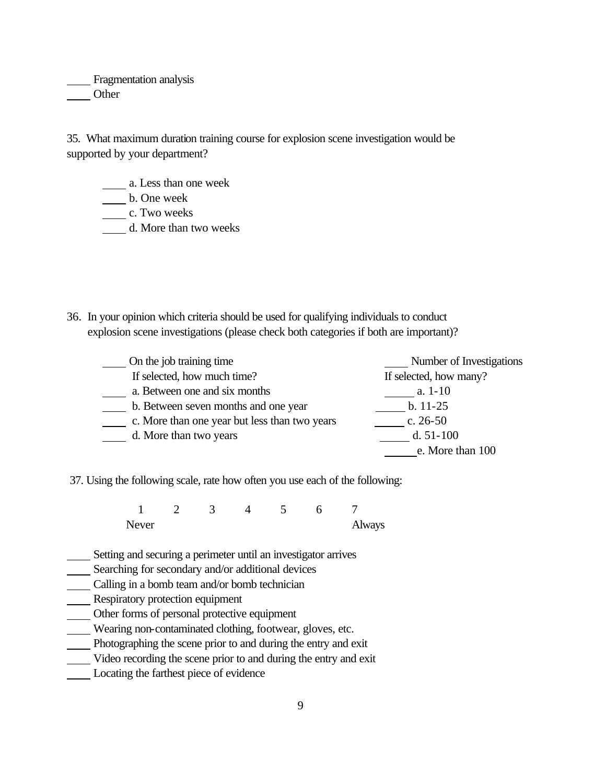Fragmentation analysis **Other** 

35. What maximum duration training course for explosion scene investigation would be supported by your department?

a. Less than one week

b. One week

\_\_\_\_\_\_\_ c. Two weeks

d. More than two weeks

36. In your opinion which criteria should be used for qualifying individuals to conduct explosion scene investigations (please check both categories if both are important)?

| On the job training time                      | Number of Investigations |
|-----------------------------------------------|--------------------------|
| If selected, how much time?                   | If selected, how many?   |
| a. Between one and six months                 | a. $1-10$                |
| b. Between seven months and one year          | $b. 11-25$               |
| c. More than one year but less than two years | c. $26-50$               |
| d. More than two years                        | d. $51-100$              |
|                                               | e. More than 100         |

37. Using the following scale, rate how often you use each of the following:

1 2 3 4 5 6 7 Never Always

- Setting and securing a perimeter until an investigator arrives
- Searching for secondary and/or additional devices
- Calling in a bomb team and/or bomb technician
- Respiratory protection equipment
- Other forms of personal protective equipment
- Wearing non-contaminated clothing, footwear, gloves, etc.
- Photographing the scene prior to and during the entry and exit
- Video recording the scene prior to and during the entry and exit
- Locating the farthest piece of evidence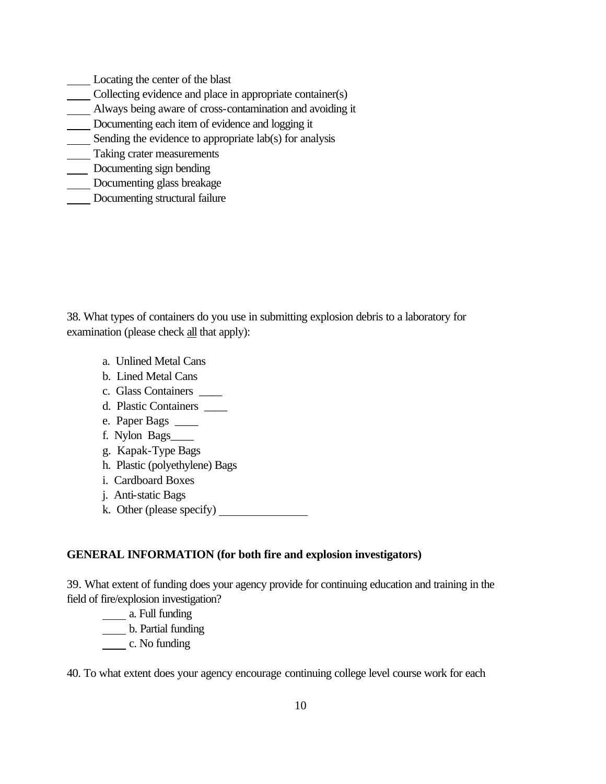- Locating the center of the blast
- Collecting evidence and place in appropriate container(s)
- Always being aware of cross-contamination and avoiding it
- Documenting each item of evidence and logging it
- Sending the evidence to appropriate lab(s) for analysis
- **Taking crater measurements**
- Documenting sign bending
- Documenting glass breakage
- Documenting structural failure

38. What types of containers do you use in submitting explosion debris to a laboratory for examination (please check all that apply):

- a. Unlined Metal Cans
- b. Lined Metal Cans
- c. Glass Containers \_\_\_\_
- d. Plastic Containers \_\_\_\_
- e. Paper Bags \_\_\_\_
- f. Nylon Bags\_\_\_\_
- g. Kapak-Type Bags
- h. Plastic (polyethylene) Bags
- i. Cardboard Boxes
- j. Anti-static Bags
- k. Other (please specify)

#### **GENERAL INFORMATION (for both fire and explosion investigators)**

39. What extent of funding does your agency provide for continuing education and training in the field of fire/explosion investigation?

- a. Full funding
- b. Partial funding
- c. No funding

40. To what extent does your agency encourage continuing college level course work for each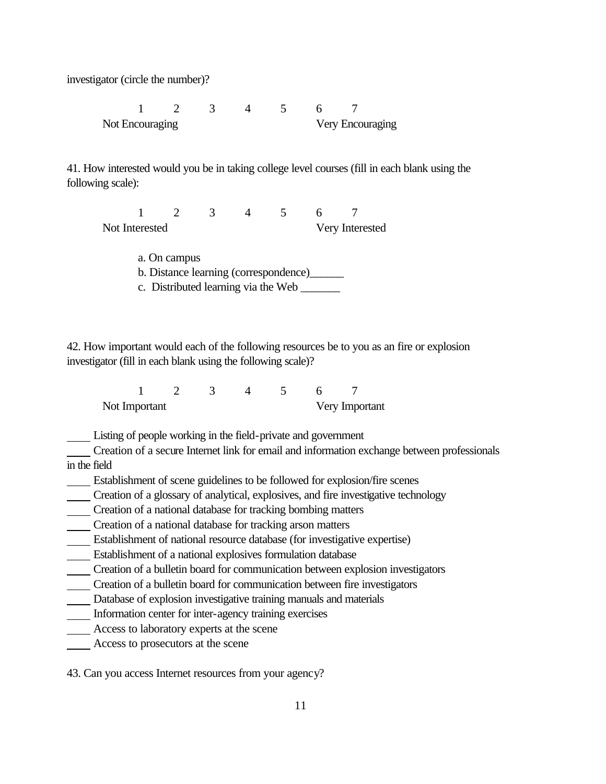investigator (circle the number)?

1 2 3 4 5 6 7 Not Encouraging Very Encouraging

41. How interested would you be in taking college level courses (fill in each blank using the following scale):

1 2 3 4 5 6 7 Not Interested Very Interested

> a. On campus b. Distance learning (correspondence)\_\_\_\_\_\_ c. Distributed learning via the Web \_\_\_\_\_\_\_

42. How important would each of the following resources be to you as an fire or explosion investigator (fill in each blank using the following scale)?

1 2 3 4 5 6 7 Not Important Very Important

Listing of people working in the field-private and government

 Creation of a secure Internet link for email and information exchange between professionals in the field

- Establishment of scene guidelines to be followed for explosion/fire scenes
- Creation of a glossary of analytical, explosives, and fire investigative technology

Creation of a national database for tracking bombing matters

- Creation of a national database for tracking arson matters
- Establishment of national resource database (for investigative expertise)
- Establishment of a national explosives formulation database
- Creation of a bulletin board for communication between explosion investigators
- Creation of a bulletin board for communication between fire investigators
- Database of explosion investigative training manuals and materials
- Information center for inter-agency training exercises
- Access to laboratory experts at the scene
- Access to prosecutors at the scene

43. Can you access Internet resources from your agency?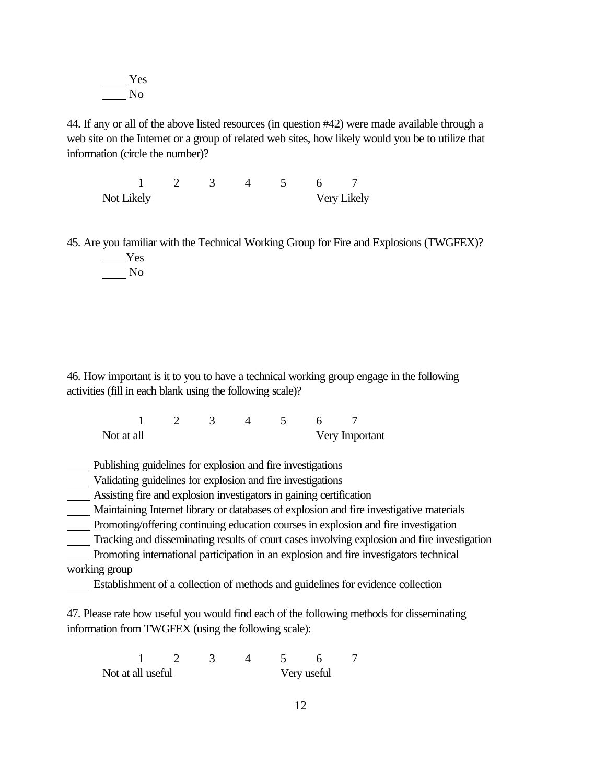Yes No

44. If any or all of the above listed resources (in question #42) were made available through a web site on the Internet or a group of related web sites, how likely would you be to utilize that information (circle the number)?

1 2 3 4 5 6 7 Not Likely Very Likely

45. Are you familiar with the Technical Working Group for Fire and Explosions (TWGFEX)? Yes

No

46. How important is it to you to have a technical working group engage in the following activities (fill in each blank using the following scale)?

1 2 3 4 5 6 7 Not at all Very Important

Publishing guidelines for explosion and fire investigations

Validating guidelines for explosion and fire investigations

Assisting fire and explosion investigators in gaining certification

Maintaining Internet library or databases of explosion and fire investigative materials

Promoting/offering continuing education courses in explosion and fire investigation

Tracking and disseminating results of court cases involving explosion and fire investigation

 Promoting international participation in an explosion and fire investigators technical working group

Establishment of a collection of methods and guidelines for evidence collection

47. Please rate how useful you would find each of the following methods for disseminating information from TWGFEX (using the following scale):

1 2 3 4 5 6 7 Not at all useful Very useful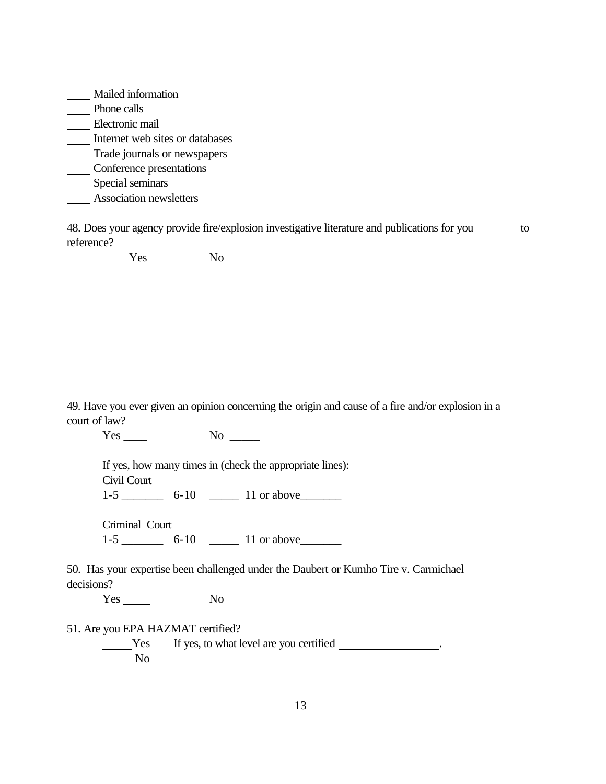Mailed information Phone calls Electronic mail Internet web sites or databases **Trade journals or newspapers** Conference presentations \_\_\_\_ Special seminars **Association newsletters** 

48. Does your agency provide fire/explosion investigative literature and publications for you to reference?

Yes No

49. Have you ever given an opinion concerning the origin and cause of a fire and/or explosion in a court of law?

Yes \_\_\_\_\_ No \_\_\_\_

If yes, how many times in (check the appropriate lines): Civil Court

1-5 \_\_\_\_\_\_\_ 6-10 \_\_\_\_\_ 11 or above\_\_\_\_\_\_\_

Criminal Court

1-5 \_\_\_\_\_\_\_ 6-10 \_\_\_\_\_ 11 or above\_\_\_\_\_\_\_

50. Has your expertise been challenged under the Daubert or Kumho Tire v. Carmichael decisions?

Yes No

51. Are you EPA HAZMAT certified?

**The Vester If yes, to what level are you certified** <u>Section</u> No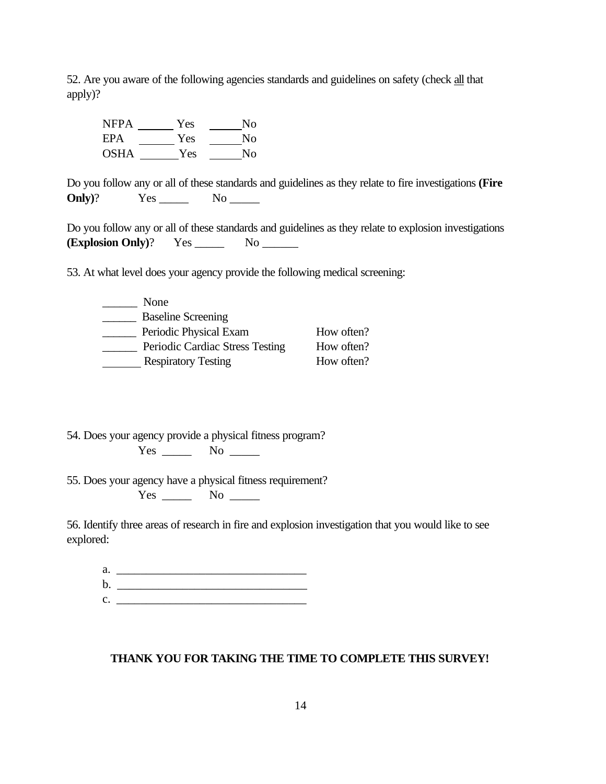52. Are you aware of the following agencies standards and guidelines on safety (check all that apply)?

NFPA Yes No EPA \_\_\_\_\_\_\_ Yes \_\_\_\_\_\_\_ No OSHA Yes No

Do you follow any or all of these standards and guidelines as they relate to fire investigations **(Fire Only**)? Yes No \_\_\_\_\_\_

Do you follow any or all of these standards and guidelines as they relate to explosion investigations **(Explosion Only)**? Yes \_\_\_\_\_ No \_\_\_\_\_\_

53. At what level does your agency provide the following medical screening:

| None                            |            |
|---------------------------------|------------|
| <b>Baseline Screening</b>       |            |
| Periodic Physical Exam          | How often? |
| Periodic Cardiac Stress Testing | How often? |
| <b>Respiratory Testing</b>      | How often? |

54. Does your agency provide a physical fitness program? Yes \_\_\_\_\_\_\_ No \_\_\_\_\_

55. Does your agency have a physical fitness requirement? Yes \_\_\_\_\_\_\_ No \_\_\_\_\_\_

56. Identify three areas of research in fire and explosion investigation that you would like to see explored:

| a.          |  |
|-------------|--|
| b.          |  |
| $C_{\star}$ |  |

#### **THANK YOU FOR TAKING THE TIME TO COMPLETE THIS SURVEY!**